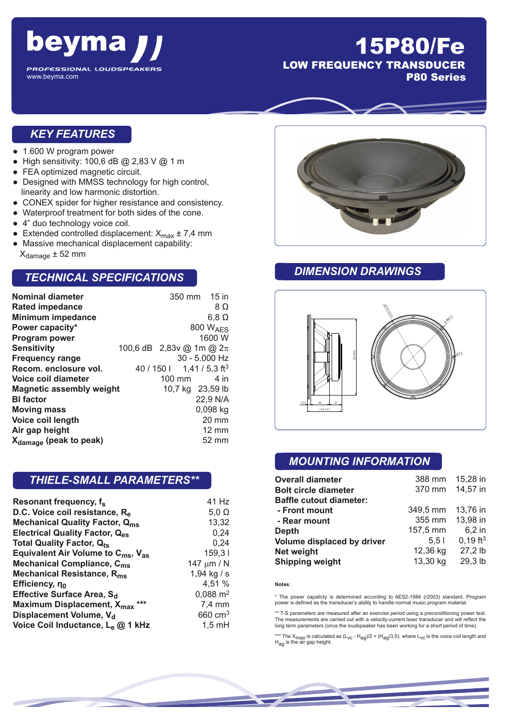

## 15P80/Fe LOW FREQUENCY TRANSDUCER

P80 Series

#### *KEY FEATURES*

- 1.600 W program power
- High sensitivity: 100,6 dB @ 2,83 V @ 1 m
- FEA optimized magnetic circuit.
- Designed with MMSS technology for high control, linearity and low harmonic distortion.
- CONEX spider for higher resistance and consistency.
- Waterproof treatment for both sides of the cone.
- 4" duo technology voice coil.
- Extended controlled displacement:  $X_{\text{max}} \pm 7.4 \text{ mm}$
- Massive mechanical displacement capability:  $X_{\text{damade}} \pm 52$  mm

#### *TECHNICAL SPECIFICATIONS*

| <b>Nominal diameter</b>            |                              |            | 350 mm 15 in               |  |
|------------------------------------|------------------------------|------------|----------------------------|--|
| <b>Rated impedance</b>             |                              |            | 8Ω                         |  |
| <b>Minimum impedance</b>           |                              |            | $6,8 \Omega$               |  |
| Power capacity*                    |                              |            | 800 W <sub>AFS</sub>       |  |
| <b>Program power</b>               |                              |            | 1600 W                     |  |
| <b>Sensitivity</b>                 | 100,6 dB 2,83v @ 1m @ $2\pi$ |            |                            |  |
| <b>Frequency range</b>             |                              |            | $30 - 5.000$ Hz            |  |
| Recom. enclosure vol.              |                              | 40 / 150 l | 1,41 / 5,3 ft <sup>3</sup> |  |
| Voice coil diameter                |                              | 100 mm     | 4 in                       |  |
| <b>Magnetic assembly weight</b>    |                              |            | 10,7 kg 23,59 lb           |  |
| <b>BI</b> factor                   |                              |            | 22,9 N/A                   |  |
| <b>Moving mass</b>                 |                              |            | 0,098 kg                   |  |
| Voice coil length                  |                              |            | 20 mm                      |  |
| Air gap height                     |                              |            | 12 mm                      |  |
| X <sub>damage</sub> (peak to peak) |                              |            | 52 mm                      |  |

#### *THIELE-SMALL PARAMETERS\*\**

| Resonant frequency, f <sub>s</sub>                         | 41 Hz               |
|------------------------------------------------------------|---------------------|
| D.C. Voice coil resistance, Re                             | $5,0 \Omega$        |
| <b>Mechanical Quality Factor, Qms</b>                      | 13,32               |
| <b>Electrical Quality Factor, Q<sub>es</sub></b>           | 0,24                |
| Total Quality Factor, Q <sub>ts</sub>                      | 0.24                |
| Equivalent Air Volume to $C_{\text{ms}}$ , $V_{\text{as}}$ | 159,31              |
| Mechanical Compliance, C <sub>ms</sub>                     | 147 $\mu$ m / N     |
| Mechanical Resistance, R <sub>ms</sub>                     | 1,94 kg / s         |
| Efficiency, no                                             | 4,51 %              |
| Effective Surface Area, S <sub>d</sub>                     | $0,088 \text{ m}^2$ |
| Maximum Displacement, X <sub>max</sub> ***                 | 7,4 mm              |
| Displacement Volume, V <sub>d</sub>                        | 660 $cm3$           |
| Voice Coil Inductance, Le @ 1 kHz                          | $1,5$ mH            |



#### *DIMENSION DRAWINGS*



#### *MOUNTING INFORMATION*

| <b>Overall diameter</b>        | 388 mm   | 15,28 in               |
|--------------------------------|----------|------------------------|
| <b>Bolt circle diameter</b>    | 370 mm   | 14,57 in               |
| <b>Baffle cutout diameter:</b> |          |                        |
| - Front mount                  | 349,5 mm | 13,76 in               |
| - Rear mount                   | 355 mm   | 13,98 in               |
| <b>Depth</b>                   | 157,5 mm | 6,2 in                 |
| Volume displaced by driver     | 5.51     | $0,19$ ft <sup>3</sup> |
| <b>Net weight</b>              | 12,36 kg | 27,2 lb                |
| <b>Shipping weight</b>         | 13,30 kg | 29,3 lb                |

#### **Notes**:

\* The power capaticty is determined according to AES2-1984 (r2003) standard. Program power is defined as the transducer's ability to handle normal music program material.

\*\* T-S parameters are measured after an exercise period using a preconditioning power test. The measurements are carried out with a velocity-current laser transducer and will reflect the long term parameters (once the loudspeaker has been working for a short period of time).

\*\*\* The X<sub>max</sub> is calculated as (L<sub>VC</sub> - H<sub>ag</sub>)/2 + (H<sub>ag</sub>/3,5), where L<sub>VC</sub> is the voice coil length and<br>H<sub>ag</sub> is the air gap height.